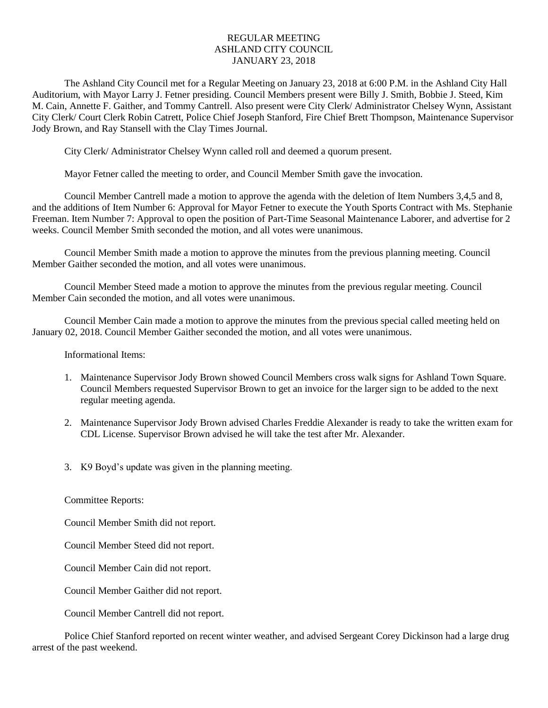## REGULAR MEETING ASHLAND CITY COUNCIL JANUARY 23, 2018

The Ashland City Council met for a Regular Meeting on January 23, 2018 at 6:00 P.M. in the Ashland City Hall Auditorium, with Mayor Larry J. Fetner presiding. Council Members present were Billy J. Smith, Bobbie J. Steed, Kim M. Cain, Annette F. Gaither, and Tommy Cantrell. Also present were City Clerk/ Administrator Chelsey Wynn, Assistant City Clerk/ Court Clerk Robin Catrett, Police Chief Joseph Stanford, Fire Chief Brett Thompson, Maintenance Supervisor Jody Brown, and Ray Stansell with the Clay Times Journal.

City Clerk/ Administrator Chelsey Wynn called roll and deemed a quorum present.

Mayor Fetner called the meeting to order, and Council Member Smith gave the invocation.

Council Member Cantrell made a motion to approve the agenda with the deletion of Item Numbers 3,4,5 and 8, and the additions of Item Number 6: Approval for Mayor Fetner to execute the Youth Sports Contract with Ms. Stephanie Freeman. Item Number 7: Approval to open the position of Part-Time Seasonal Maintenance Laborer, and advertise for 2 weeks. Council Member Smith seconded the motion, and all votes were unanimous.

Council Member Smith made a motion to approve the minutes from the previous planning meeting. Council Member Gaither seconded the motion, and all votes were unanimous.

Council Member Steed made a motion to approve the minutes from the previous regular meeting. Council Member Cain seconded the motion, and all votes were unanimous.

Council Member Cain made a motion to approve the minutes from the previous special called meeting held on January 02, 2018. Council Member Gaither seconded the motion, and all votes were unanimous.

Informational Items:

- 1. Maintenance Supervisor Jody Brown showed Council Members cross walk signs for Ashland Town Square. Council Members requested Supervisor Brown to get an invoice for the larger sign to be added to the next regular meeting agenda.
- 2. Maintenance Supervisor Jody Brown advised Charles Freddie Alexander is ready to take the written exam for CDL License. Supervisor Brown advised he will take the test after Mr. Alexander.
- 3. K9 Boyd's update was given in the planning meeting.

Committee Reports:

Council Member Smith did not report.

Council Member Steed did not report.

Council Member Cain did not report.

Council Member Gaither did not report.

Council Member Cantrell did not report.

Police Chief Stanford reported on recent winter weather, and advised Sergeant Corey Dickinson had a large drug arrest of the past weekend.